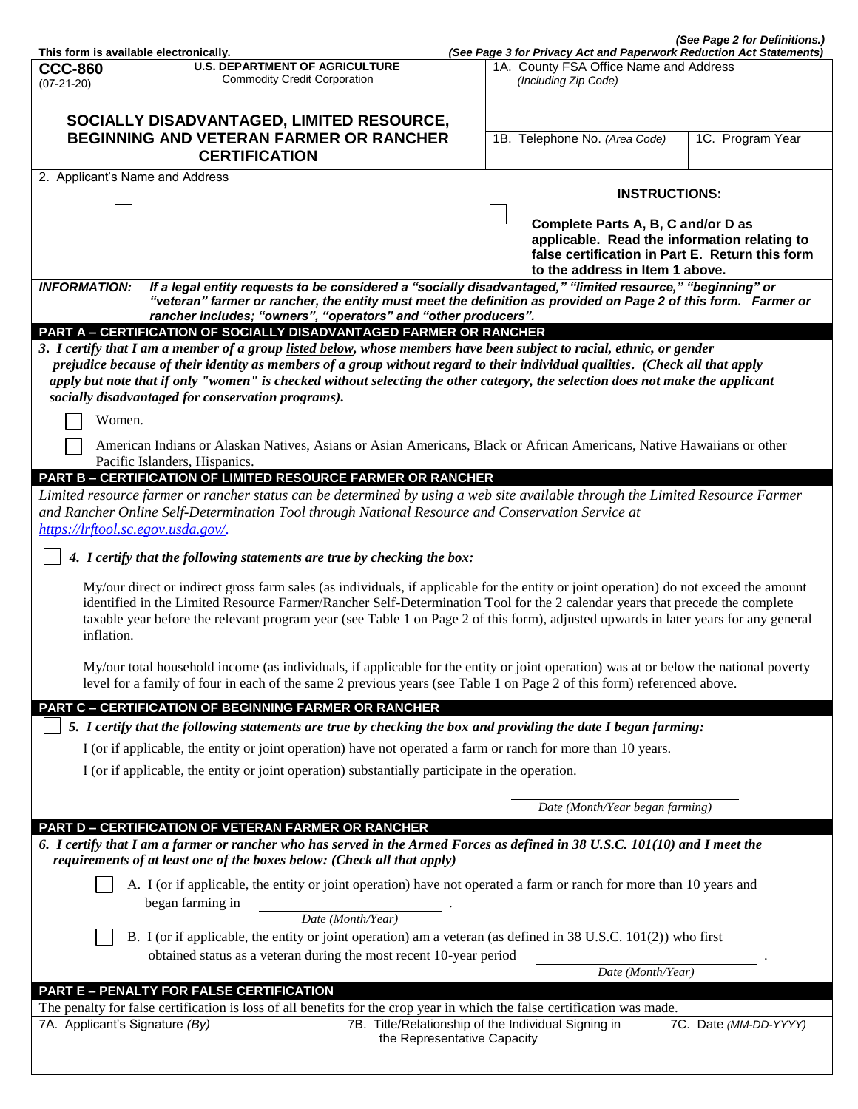|                                                                                                                                                                                                                                                                                                                                                                                                                            |                                                                                                                     |  |                                                                                                               | (See Page 2 for Definitions.)                                                                   |  |
|----------------------------------------------------------------------------------------------------------------------------------------------------------------------------------------------------------------------------------------------------------------------------------------------------------------------------------------------------------------------------------------------------------------------------|---------------------------------------------------------------------------------------------------------------------|--|---------------------------------------------------------------------------------------------------------------|-------------------------------------------------------------------------------------------------|--|
| This form is available electronically.<br><b>CCC-860</b>                                                                                                                                                                                                                                                                                                                                                                   | <b>U.S. DEPARTMENT OF AGRICULTURE</b>                                                                               |  | (See Page 3 for Privacy Act and Paperwork Reduction Act Statements)<br>1A. County FSA Office Name and Address |                                                                                                 |  |
| $(07-21-20)$                                                                                                                                                                                                                                                                                                                                                                                                               | <b>Commodity Credit Corporation</b>                                                                                 |  | (Including Zip Code)                                                                                          |                                                                                                 |  |
|                                                                                                                                                                                                                                                                                                                                                                                                                            |                                                                                                                     |  |                                                                                                               |                                                                                                 |  |
| SOCIALLY DISADVANTAGED, LIMITED RESOURCE,                                                                                                                                                                                                                                                                                                                                                                                  |                                                                                                                     |  |                                                                                                               |                                                                                                 |  |
| <b>BEGINNING AND VETERAN FARMER OR RANCHER</b><br><b>CERTIFICATION</b>                                                                                                                                                                                                                                                                                                                                                     |                                                                                                                     |  | 1B. Telephone No. (Area Code)                                                                                 | 1C. Program Year                                                                                |  |
| 2. Applicant's Name and Address                                                                                                                                                                                                                                                                                                                                                                                            |                                                                                                                     |  |                                                                                                               |                                                                                                 |  |
|                                                                                                                                                                                                                                                                                                                                                                                                                            |                                                                                                                     |  |                                                                                                               | <b>INSTRUCTIONS:</b>                                                                            |  |
|                                                                                                                                                                                                                                                                                                                                                                                                                            |                                                                                                                     |  | Complete Parts A, B, C and/or D as                                                                            |                                                                                                 |  |
|                                                                                                                                                                                                                                                                                                                                                                                                                            |                                                                                                                     |  | to the address in Item 1 above.                                                                               | applicable. Read the information relating to<br>false certification in Part E. Return this form |  |
| <b>INFORMATION:</b>                                                                                                                                                                                                                                                                                                                                                                                                        | If a legal entity requests to be considered a "socially disadvantaged," "limited resource," "beginning" or          |  |                                                                                                               |                                                                                                 |  |
| "veteran" farmer or rancher, the entity must meet the definition as provided on Page 2 of this form. Farmer or<br>rancher includes; "owners", "operators" and "other producers".                                                                                                                                                                                                                                           |                                                                                                                     |  |                                                                                                               |                                                                                                 |  |
| PART A - CERTIFICATION OF SOCIALLY DISADVANTAGED FARMER OR RANCHER                                                                                                                                                                                                                                                                                                                                                         |                                                                                                                     |  |                                                                                                               |                                                                                                 |  |
| 3. I certify that I am a member of a group listed below, whose members have been subject to racial, ethnic, or gender                                                                                                                                                                                                                                                                                                      |                                                                                                                     |  |                                                                                                               |                                                                                                 |  |
| prejudice because of their identity as members of a group without regard to their individual qualities. (Check all that apply<br>apply but note that if only "women" is checked without selecting the other category, the selection does not make the applicant                                                                                                                                                            |                                                                                                                     |  |                                                                                                               |                                                                                                 |  |
| socially disadvantaged for conservation programs).                                                                                                                                                                                                                                                                                                                                                                         |                                                                                                                     |  |                                                                                                               |                                                                                                 |  |
|                                                                                                                                                                                                                                                                                                                                                                                                                            |                                                                                                                     |  |                                                                                                               |                                                                                                 |  |
| Women.                                                                                                                                                                                                                                                                                                                                                                                                                     |                                                                                                                     |  |                                                                                                               |                                                                                                 |  |
| American Indians or Alaskan Natives, Asians or Asian Americans, Black or African Americans, Native Hawaiians or other<br>Pacific Islanders, Hispanics.                                                                                                                                                                                                                                                                     |                                                                                                                     |  |                                                                                                               |                                                                                                 |  |
| <b>PART B - CERTIFICATION OF LIMITED RESOURCE FARMER OR RANCHER</b>                                                                                                                                                                                                                                                                                                                                                        |                                                                                                                     |  |                                                                                                               |                                                                                                 |  |
| Limited resource farmer or rancher status can be determined by using a web site available through the Limited Resource Farmer<br>and Rancher Online Self-Determination Tool through National Resource and Conservation Service at<br>https://lrftool.sc.egov.usda.gov/.                                                                                                                                                    |                                                                                                                     |  |                                                                                                               |                                                                                                 |  |
|                                                                                                                                                                                                                                                                                                                                                                                                                            |                                                                                                                     |  |                                                                                                               |                                                                                                 |  |
| 4. I certify that the following statements are true by checking the box:                                                                                                                                                                                                                                                                                                                                                   |                                                                                                                     |  |                                                                                                               |                                                                                                 |  |
| My/our direct or indirect gross farm sales (as individuals, if applicable for the entity or joint operation) do not exceed the amount<br>identified in the Limited Resource Farmer/Rancher Self-Determination Tool for the 2 calendar years that precede the complete<br>taxable year before the relevant program year (see Table 1 on Page 2 of this form), adjusted upwards in later years for any general<br>inflation. |                                                                                                                     |  |                                                                                                               |                                                                                                 |  |
| My/our total household income (as individuals, if applicable for the entity or joint operation) was at or below the national poverty<br>level for a family of four in each of the same 2 previous years (see Table 1 on Page 2 of this form) referenced above.                                                                                                                                                             |                                                                                                                     |  |                                                                                                               |                                                                                                 |  |
| <b>PART C - CERTIFICATION OF BEGINNING FARMER OR RANCHER</b>                                                                                                                                                                                                                                                                                                                                                               |                                                                                                                     |  |                                                                                                               |                                                                                                 |  |
| 5. I certify that the following statements are true by checking the box and providing the date I began farming:                                                                                                                                                                                                                                                                                                            |                                                                                                                     |  |                                                                                                               |                                                                                                 |  |
| I (or if applicable, the entity or joint operation) have not operated a farm or ranch for more than 10 years.                                                                                                                                                                                                                                                                                                              |                                                                                                                     |  |                                                                                                               |                                                                                                 |  |
| I (or if applicable, the entity or joint operation) substantially participate in the operation.                                                                                                                                                                                                                                                                                                                            |                                                                                                                     |  |                                                                                                               |                                                                                                 |  |
|                                                                                                                                                                                                                                                                                                                                                                                                                            |                                                                                                                     |  |                                                                                                               |                                                                                                 |  |
|                                                                                                                                                                                                                                                                                                                                                                                                                            |                                                                                                                     |  | Date (Month/Year began farming)                                                                               |                                                                                                 |  |
| PART D - CERTIFICATION OF VETERAN FARMER OR RANCHER                                                                                                                                                                                                                                                                                                                                                                        |                                                                                                                     |  |                                                                                                               |                                                                                                 |  |
| 6. I certify that I am a farmer or rancher who has served in the Armed Forces as defined in 38 U.S.C. 101(10) and I meet the<br>requirements of at least one of the boxes below: (Check all that apply)                                                                                                                                                                                                                    |                                                                                                                     |  |                                                                                                               |                                                                                                 |  |
| began farming in                                                                                                                                                                                                                                                                                                                                                                                                           | A. I (or if applicable, the entity or joint operation) have not operated a farm or ranch for more than 10 years and |  |                                                                                                               |                                                                                                 |  |
|                                                                                                                                                                                                                                                                                                                                                                                                                            | Date (Month/Year)                                                                                                   |  |                                                                                                               |                                                                                                 |  |
| B. I (or if applicable, the entity or joint operation) am a veteran (as defined in 38 U.S.C. 101(2)) who first                                                                                                                                                                                                                                                                                                             |                                                                                                                     |  |                                                                                                               |                                                                                                 |  |
| obtained status as a veteran during the most recent 10-year period                                                                                                                                                                                                                                                                                                                                                         |                                                                                                                     |  |                                                                                                               |                                                                                                 |  |
| Date (Month/Year)                                                                                                                                                                                                                                                                                                                                                                                                          |                                                                                                                     |  |                                                                                                               |                                                                                                 |  |
| PART E - PENALTY FOR FALSE CERTIFICATION                                                                                                                                                                                                                                                                                                                                                                                   |                                                                                                                     |  |                                                                                                               |                                                                                                 |  |
| The penalty for false certification is loss of all benefits for the crop year in which the false certification was made.                                                                                                                                                                                                                                                                                                   |                                                                                                                     |  |                                                                                                               |                                                                                                 |  |
| 7A. Applicant's Signature (By)                                                                                                                                                                                                                                                                                                                                                                                             | 7B. Title/Relationship of the Individual Signing in<br>the Representative Capacity                                  |  |                                                                                                               | 7C. Date (MM-DD-YYYY)                                                                           |  |
|                                                                                                                                                                                                                                                                                                                                                                                                                            |                                                                                                                     |  |                                                                                                               |                                                                                                 |  |
|                                                                                                                                                                                                                                                                                                                                                                                                                            |                                                                                                                     |  |                                                                                                               |                                                                                                 |  |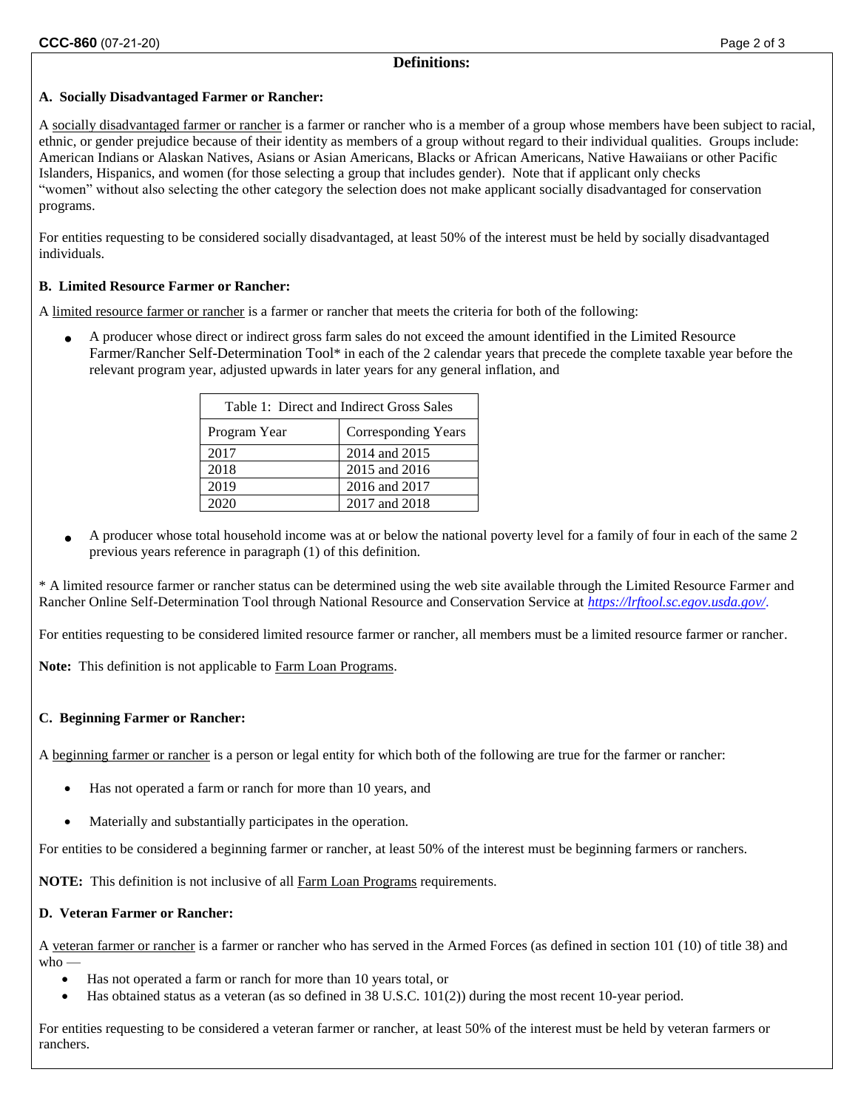### **A. Socially Disadvantaged Farmer or Rancher:**

A socially disadvantaged farmer or rancher is a farmer or rancher who is a member of a group whose members have been subject to racial, ethnic, or gender prejudice because of their identity as members of a group without regard to their individual qualities. Groups include: American Indians or Alaskan Natives, Asians or Asian Americans, Blacks or African Americans, Native Hawaiians or other Pacific Islanders, Hispanics, and women (for those selecting a group that includes gender). Note that if applicant only checks "women" without also selecting the other category the selection does not make applicant socially disadvantaged for conservation programs.

For entities requesting to be considered socially disadvantaged, at least 50% of the interest must be held by socially disadvantaged individuals.

# **B. Limited Resource Farmer or Rancher:**

A limited resource farmer or rancher is a farmer or rancher that meets the criteria for both of the following:

• A producer whose direct or indirect gross farm sales do not exceed the amount identified in the Limited Resource Farmer/Rancher Self-Determination Tool\* in each of the 2 calendar years that precede the complete taxable year before the relevant program year, adjusted upwards in later years for any general inflation, and

| Table 1: Direct and Indirect Gross Sales |                            |  |  |
|------------------------------------------|----------------------------|--|--|
| Program Year                             | <b>Corresponding Years</b> |  |  |
| 2017                                     | 2014 and 2015              |  |  |
| 2018                                     | 2015 and 2016              |  |  |
| 2019                                     | 2016 and 2017              |  |  |
|                                          | 2017 and 2018              |  |  |

• A producer whose total household income was at or below the national poverty level for a family of four in each of the same 2 previous years reference in paragraph (1) of this definition.

\* A limited resource farmer or rancher status can be determined using the web site available through the Limited Resource Farmer and Rancher Online Self-Determination Tool through National Resource and Conservation Service at *<https://lrftool.sc.egov.usda.gov/>*.

For entities requesting to be considered limited resource farmer or rancher, all members must be a limited resource farmer or rancher.

**Note:** This definition is not applicable to Farm Loan Programs.

# **C. Beginning Farmer or Rancher:**

A beginning farmer or rancher is a person or legal entity for which both of the following are true for the farmer or rancher:

- Has not operated a farm or ranch for more than 10 years, and
- Materially and substantially participates in the operation.

For entities to be considered a beginning farmer or rancher, at least 50% of the interest must be beginning farmers or ranchers.

**NOTE:** This definition is not inclusive of all Farm Loan Programs requirements.

#### **D. Veteran Farmer or Rancher:**

A veteran farmer or rancher is a farmer or rancher who has served in the Armed Forces (as defined in section 101 (10) of title 38) and  $w$ ho —

- Has not operated a farm or ranch for more than 10 years total, or
- Has obtained status as a veteran (as so defined in 38 U.S.C. 101(2)) during the most recent 10-year period.

For entities requesting to be considered a veteran farmer or rancher, at least 50% of the interest must be held by veteran farmers or ranchers.